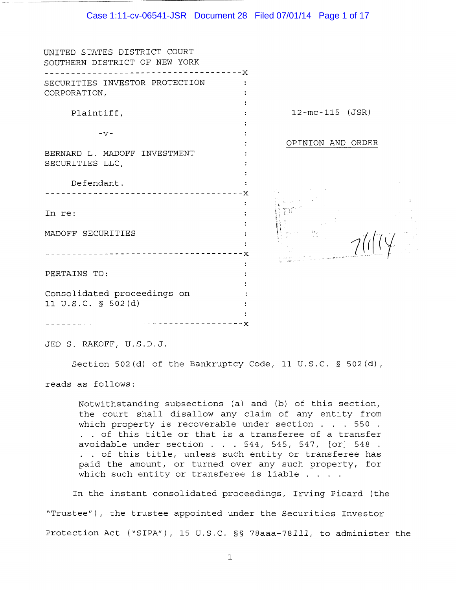#### Case 1:11-cv-06541-JSR Document 28 Filed 07/01/14 Page 1 of 17

| UNITED STATES DISTRICT COURT<br>SOUTHERN DISTRICT OF NEW YORK |   |                       |
|---------------------------------------------------------------|---|-----------------------|
| SECURITIES INVESTOR PROTECTION                                | х |                       |
| CORPORATION,                                                  |   |                       |
|                                                               |   |                       |
| Plaintiff,                                                    |   | $12 - mc - 115$ (JSR) |
|                                                               |   |                       |
| $-V -$                                                        |   |                       |
|                                                               |   | OPINION AND ORDER     |
| BERNARD L. MADOFF INVESTMENT                                  |   |                       |
| SECURITIES LLC,                                               |   |                       |
|                                                               |   |                       |
| Defendant.                                                    |   |                       |
|                                                               |   |                       |
|                                                               |   |                       |
| In re:                                                        |   |                       |
|                                                               |   |                       |
| MADOFF SECURITIES                                             |   |                       |
|                                                               |   |                       |
|                                                               |   |                       |
|                                                               |   |                       |
| PERTAINS TO:                                                  |   |                       |
|                                                               |   |                       |
| Consolidated proceedings on                                   |   |                       |
| 11 U.S.C. § 502(d)                                            |   |                       |
|                                                               |   |                       |
|                                                               |   |                       |

JED S. RAKOFF, U.S.D.J.

Section 502(d) of the Bankruptcy Code, 11 U.S.C. § 502(d),

reads as follows:

Notwithstanding subsections (a) and (b) of this section, the court shall disallow any claim of any entity from which property is recoverable under section . . . 550 . . of this title or that is a transferee of a transfer avoidable under section . . 544, 545, 547, [or] 548 . . of this title, unless such entity or transferee has paid the amount, or turned over any such property, for which such entity or transferee is liable . . . .

In the instant consolidated proceedings, Irving Picard (the "Trustee"), the trustee appointed under the Securities Investor Protection Act ("SIPA"), 15 U.S.C. §§ 78aaa-78111, to administer the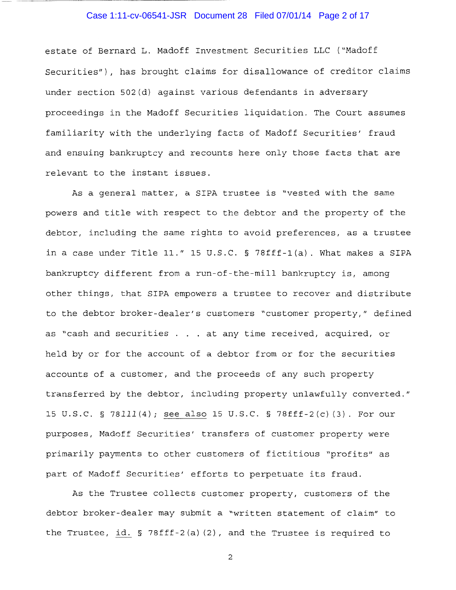## Case 1:11-cv-06541-JSR Document 28 Filed 07/01/14 Page 2 of 17

estate of Bernard L. Madoff Investment Securities LLC ("Madoff Securities"), has brought claims for disallowance of creditor claims under section 502(d) against various defendants in adversary proceedings in the Madoff Securities liquidation. The Court assumes familiarity with the underlying facts of Madoff Securities' fraud and ensuing bankruptcy and recounts here only those facts that are relevant to the instant issues.

As a general matter, a SIPA trustee is "vested with the same powers and title with respect to the debtor and the property of the debtor, including the same rights to avoid preferences, as a trustee in a case under Title 11." 15 U.S.C. § 78fff-l(a). What makes a SIPA bankruptcy different from a run-of-the-mill bankruptcy is, among other things, that SIPA empowers a trustee to recover and distribute to the debtor broker-dealer's customers "customer property," defined as "cash and securities . . . at any time received, acquired, or held by or for the account of a debtor from or for the securities accounts of a customer, and the proceeds of any such property transferred by the debtor, including property unlawfully converted." 15 U.S.C. § 78111(4); see also 15 U.S.C. § 78fff-2(c) (3). For our purposes, Madoff Securities' transfers of customer property were primarily payments to other customers of fictitious "profits" as part of Madoff Securities' efforts to perpetuate its fraud.

As the Trustee collects customer property, customers of the debtor broker-dealer may submit a "written statement of claim" to the Trustee, id. § 78fff-2(a) (2), and the Trustee is required to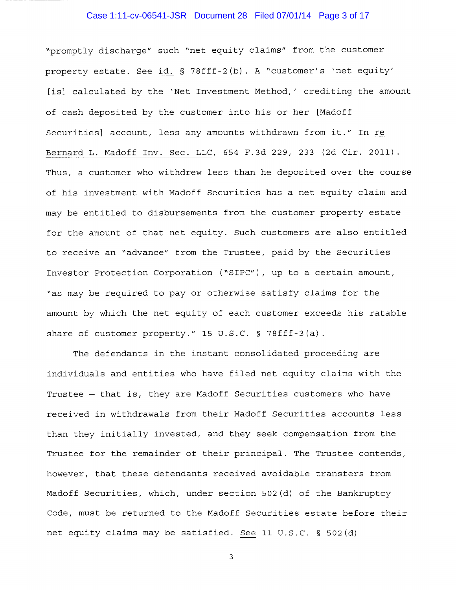# Case 1:11-cv-06541-JSR Document 28 Filed 07/01/14 Page 3 of 17

"promptly discharge" such "net equity claims" from the customer property estate. See id. § 78fff-2(b). A "customer's 'net equity' [is] calculated by the 'Net Investment Method,' crediting the amount of cash deposited by the customer into his or her [Madoff Securities] account, less any amounts withdrawn from it." In re Bernard L. Madoff Inv. Sec. LLC, 654 F.3d 229, 233 (2d Cir. 2011) Thus, a customer who withdrew less than he deposited over the course of his investment with Madoff Securities has a net equity claim and may be entitled to disbursements from the customer property estate for the amount of that net equity. Such customers are also entitled to receive an "advance" from the Trustee, paid by the Securities Investor Protection Corporation ("SIPC"), up to a certain amount, "as may be required to pay or otherwise satisfy claims for the amount by which the net equity of each customer exceeds his ratable share of customer property." 15 U.S.C. § 78fff-3(a).

The defendants in the instant consolidated proceeding are individuals and entities who have filed net equity claims with the Trustee - that is, they are Madoff Securities customers who have received in withdrawals from their Madoff Securities accounts less than they initially invested, and they seek compensation from the Trustee for the remainder of their principal. The Trustee contends, however, that these defendants received avoidable transfers from Madoff Securities, which, under section 502(d) of the Bankruptcy Code, must be returned to the Madoff Securities estate before their net equity claims may be satisfied. See 11 U.S.C. § 502(d)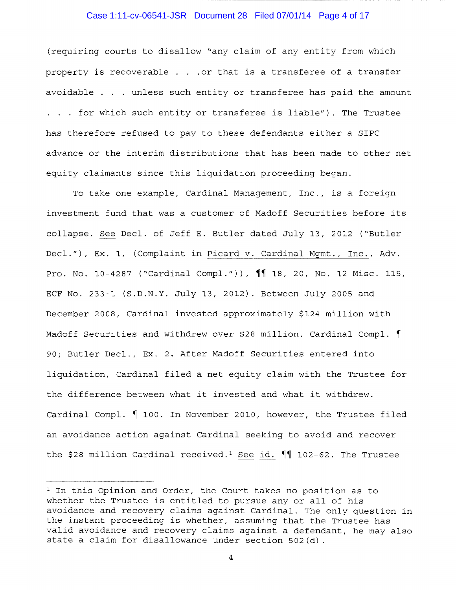#### Case 1:11-cv-06541-JSR Document 28 Filed 07/01/14 Page 4 of 17

(requiring courts to disallow "any claim of any entity from which property is recoverable  $. . .$  or that is a transferee of a transfer avoidable  $\ldots$  unless such entity or transferee has paid the amount . for which such entity or transferee is liable"). The Trustee has therefore refused to pay to these defendants either a SIPC advance or the interim distributions that has been made to other net equity claimants since this liquidation proceeding began.

To take one example, Cardinal Management, Inc., is a foreign investment fund that was a customer of Madoff Securities before its collapse. See Deel. of Jeff E. Butler dated July 13, 2012 ("Butler Deel."), Ex. 1, (Complaint in Picard v. Cardinal Mgmt., Inc., Adv. Pro. No. 10-4287 ("Cardinal Compl.")),  $\P$  $[$  18, 20, No. 12 Misc. 115, ECF No. 233-1 (S.D.N.Y. July 13, 2012). Between July 2005 and December 2008, Cardinal invested approximately \$124 million with Madoff Securities and withdrew over \$28 million. Cardinal Compl.  $\P$ 90; Butler Deel., Ex. 2. After Madoff Securities entered into liquidation, Cardinal filed a net equity claim with the Trustee for the difference between what it invested and what it withdrew. Cardinal Compl.  $\parallel$  100. In November 2010, however, the Trustee filed an avoidance action against Cardinal seeking to avoid and recover the \$28 million Cardinal received.<sup>1</sup> See id.  $\P\P$  102-62. The Trustee

 $1$  In this Opinion and Order, the Court takes no position as to whether the Trustee is entitled to pursue any or all of his avoidance and recovery claims against Cardinal. The only question in the instant proceeding is whether, assuming that the Trustee has valid avoidance and recovery claims against a defendant, he may also state a claim for disallowance under section 502(d).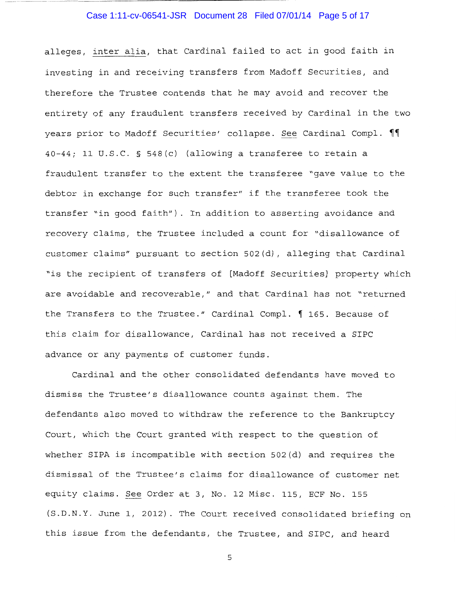## Case 1:11-cv-06541-JSR Document 28 Filed 07/01/14 Page 5 of 17

alleges, inter alia, that Cardinal failed to act in good faith in investing in and receiving transfers from Madoff Securities, and therefore the Trustee contends that he may avoid and recover the entirety of any fraudulent transfers received by Cardinal in the two years prior to Madoff Securities' collapse. See Cardinal Compl.  $\P\P$ 40-44; 11 U.S.C. § 548(c) (allowing a transferee to retain a fraudulent transfer to the extent the transferee "gave value to the debtor in exchange for such transfer" if the transferee took the transfer "in good faith"). In addition to asserting avoidance and recovery claims, the Trustee included a count for "disallowance of customer claims" pursuant to section 502(d), alleging that Cardinal "is the recipient of transfers of [Madoff Securities] property which are avoidable and recoverable," and that Cardinal has not "returned the Transfers to the Trustee." Cardinal Compl.  $\int$  165. Because of this claim for disallowance, Cardinal has not received a SIPC advance or any payments of customer funds.

Cardinal and the other consolidated defendants have moved to dismiss the Trustee's disallowance counts against them. The defendants also moved to withdraw the reference to the Bankruptcy Court, which the Court granted with respect to the question of whether SIPA is incompatible with section 502(d) and requires the dismissal of the Trustee's claims for disallowance of customer net equity claims. See Order at 3, No. 12 Misc. 115, ECF No. 155 (S.D.N.Y. June 1, 2012). The Court received consolidated briefing on this issue from the defendants, the Trustee, and SIPC, and heard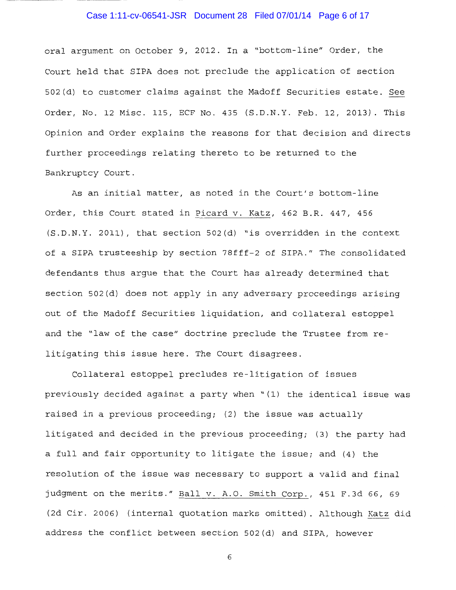## Case 1:11-cv-06541-JSR Document 28 Filed 07/01/14 Page 6 of 17

oral argument on October 9, 2012. In a "bottom-line" Order, the Court held that SIPA does not preclude the application of section 502(d) to customer claims against the Madoff Securities estate. See Order, No. 12 Misc. 115, ECF No. 435 (S.D.N.Y. Feb. 12, 2013). This Opinion and Order explains the reasons for that decision and directs further proceedings relating thereto to be returned to the Bankruptcy Court.

As an initial matter, as noted in the Court's bottom-line Order, this Court stated in Picard v. Katz, 462 B.R. 447, 456 (S.D.N.Y. 2011), that section 502(d) "is overridden in the context of a SIPA trusteeship by section 78fff-2 of SIPA." The consolidated defendants thus argue that the Court has already determined that section 502(d) does not apply in any adversary proceedings arising out of the Madoff Securities liquidation, and collateral estoppel and the "law of the case" doctrine preclude the Trustee from relitigating this issue here. The Court disagrees.

Collateral estoppel precludes re-litigation of issues previously decided against a party when "(1) the identical issue was raised in a previous proceeding; (2) the issue was actually litigated and decided in the previous proceeding; (3) the party had a full and fair opportunity to litigate the issue; and (4) the resolution of the issue was necessary to support a valid and final judgment on the merits." Ball v. A.O. Smith Corp., 451 F.3d 66, 69 (2d Cir. 2006) (internal quotation marks omitted). Although Katz did address the conflict between section 502(d) and SIPA, however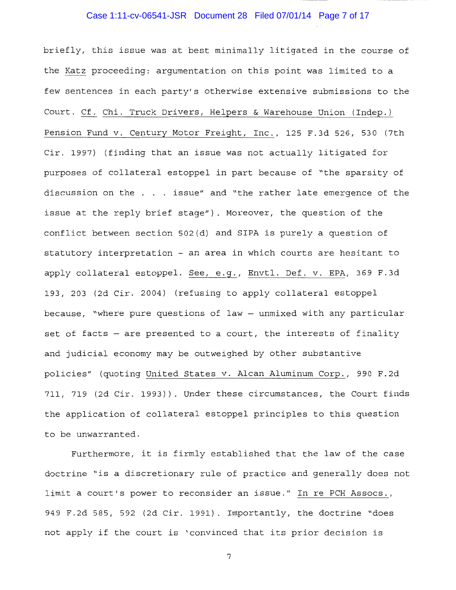## Case 1:11-cv-06541-JSR Document 28 Filed 07/01/14 Page 7 of 17

briefly, this issue was at best minimally litigated in the course of the Katz proceeding: argumentation on this point was limited to a few sentences in each party's otherwise extensive submissions to the Court. Cf. Chi. Truck Drivers, Helpers & Warehouse Union (Indep.) Pension Fund v. Century Motor Freight, Inc., 125 F.3d 526, 530 (7th Cir. 1997) (finding that an issue was not actually litigated for purposes of collateral estoppel in part because of "the sparsity of discussion on the . . issue" and "the rather late emergence of the issue at the reply brief stage"). Moreover, the question of the conflict between section 502(d) and SIPA is purely a question of statutory interpretation - an area in which courts are hesitant to apply collateral estoppel. See, e.g., Envtl. Def. v. EPA, 369 F.3d 193, 203 (2d Cir. 2004) (refusing to apply collateral estoppel because, "where pure questions of law  $-$  unmixed with any particular set of facts - are presented to a court, the interests of finality and judicial economy may be outweighed by other substantive policies" (quoting United States v. Alcan Aluminum Corp., 990 F.2d 711, 719 (2d Cir. 1993)). Under these circumstances, the Court finds the application of collateral estoppel principles to this question to be unwarranted.

Furthermore, it is firmly established that the law of the case doctrine "is a discretionary rule of practice and generally does not limit a court's power to reconsider an issue." In re PCH Assocs., 949 F.2d 585, 592 (2d Cir. 1991). Importantly, the doctrine "does not apply if the court is 'convinced that its prior decision is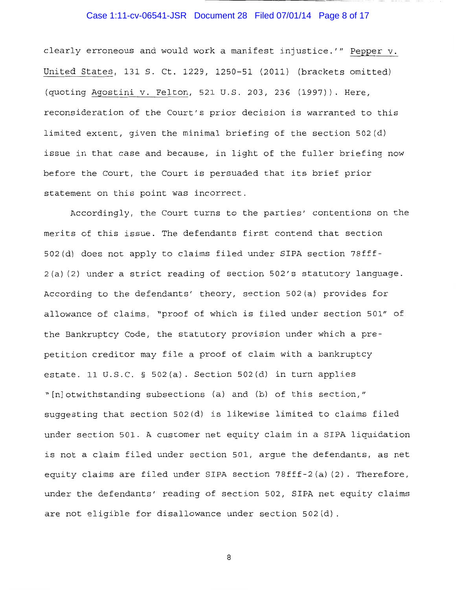# Case 1:11-cv-06541-JSR Document 28 Filed 07/01/14 Page 8 of 17

clearly erroneous and would work a manifest injustice.'" Pepper v. United States, 131 S. Ct. 1229, 1250-51 (2011) (brackets omitted) (quoting Agostini v. Felton, 521 U.S. 203, 236 (1997)). Here, reconsideration of the Court's prior decision is warranted to this limited extent, given the minimal briefing of the section 502(d) issue in that case and because, in light of the fuller briefing now before the Court, the Court is persuaded that its brief prior statement on this point was incorrect.

Accordingly, the Court turns to the parties' contentions on the merits of this issue. The defendants first contend that section 502(d) does not apply to claims filed under SIPA section 78fff-2(a) (2) under a strict reading of section 502's statutory language. According to the defendants' theory, section 502(a) provides for allowance of claims, "proof of which is filed under section 501" of the Bankruptcy Code, the statutory provision under which a prepetition creditor may file a proof of claim with a bankruptcy estate. 11 U.S.C. § 502(a). Section 502(d) in turn applies "[n]otwithstanding subsections (a) and (b) of this section," suggesting that section 502(d) is likewise limited to claims filed under section 501. A customer net equity claim in a SIPA liquidation is not a claim filed under section 501, argue the defendants, as net equity claims are filed under SIPA section 78fff-2(a)(2). Therefore, under the defendants' reading of section 502, SIPA net equity claims are not eligible for disallowance under section 502(d).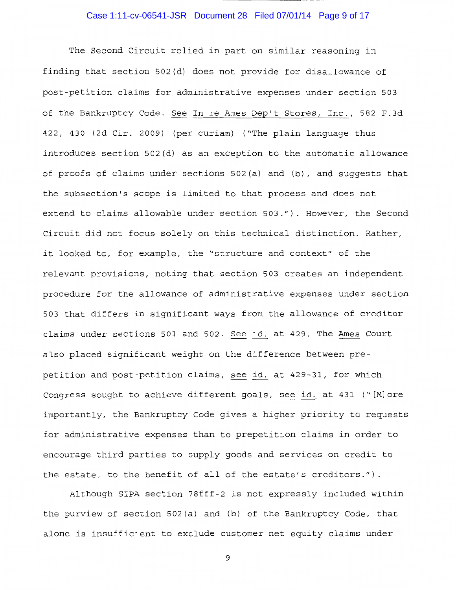## Case 1:11-cv-06541-JSR Document 28 Filed 07/01/14 Page 9 of 17

The Second Circuit relied in part on similar reasoning in finding that section 502(d) does not provide for disallowance of post-petition claims for administrative expenses under section 503 of the Bankruptcy Code. See In re Ames Dep't Stores, Inc., 582 F.3d 422, 430 (2d Cir. 2009) (per curiam) ("The plain language thus introduces section 502(d) as an exception to the automatic allowance of proofs of claims under sections 502(a) and (b), and suggests that the subsection's scope is limited to that process and does not extend to claims allowable under section 503."). However, the Second Circuit did not focus solely on this technical distinction. Rather, it looked to, for example, the "structure and context" of the relevant provisions, noting that section 503 creates an independent procedure for the allowance of administrative expenses under section 503 that differs in significant ways from the allowance of creditor claims under sections 501 and 502. See id. at 429. The Ames Court also placed significant weight on the difference between prepetition and post-petition claims, see id. at 429-31, for which Congress sought to achieve different goals, see id. at 431 ("[M]ore importantly, the Bankruptcy Code gives a higher priority to requests for administrative expenses than to prepetition claims in order to encourage third parties to supply goods and services on credit to the estate, to the benefit of all of the estate's creditors.").

Although SIPA section 78fff-2 is not expressly included within the purview of section 502(a) and (b) of the Bankruptcy Code, that alone is insufficient to exclude customer net equity claims under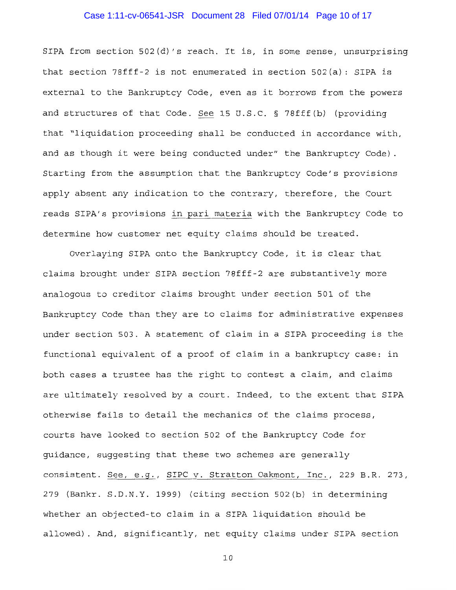## Case 1:11-cv-06541-JSR Document 28 Filed 07/01/14 Page 10 of 17

SIPA from section 502(d) 's reach. It is, in some sense, unsurprising that section 78fff-2 is not enumerated in section 502(a): SIPA is external to the Bankruptcy Code, even as it borrows from the powers and structures of that Code. See 15 U.S.C. § 78fff (b) (providing that "liquidation proceeding shall be conducted in accordance with, and as though it were being conducted under" the Bankruptcy Code) . Starting from the assumption that the Bankruptcy Code's provisions apply absent any indication to the contrary, therefore, the Court reads SIPA's provisions in pari materia with the Bankruptcy Code to determine how customer net equity claims should be treated.

Overlaying SIPA onto the Bankruptcy Code, it is clear that claims brought under SIPA section 78fff-2 are substantively more analogous to creditor claims brought under section 501 of the Bankruptcy Code than they are to claims for administrative expenses under section 503. A statement of claim in a SIPA proceeding is the functional equivalent of a proof of claim in a bankruptcy case: in both cases a trustee has the right to contest a claim, and claims are ultimately resolved by a court. Indeed, to the extent that SIPA otherwise fails to detail the mechanics of the claims process, courts have looked to section 502 of the Bankruptcy Code for guidance, suggesting that these two schemes are generally consistent. See, e.g., SIPC v. Stratton Oakmont, Inc., 229 B.R. 273, 279 (Bankr. S.D.N.Y. 1999) (citing section 502(b) in determining whether an objected-to claim in a SIPA liquidation should be allowed). And, significantly, net equity claims under SIPA section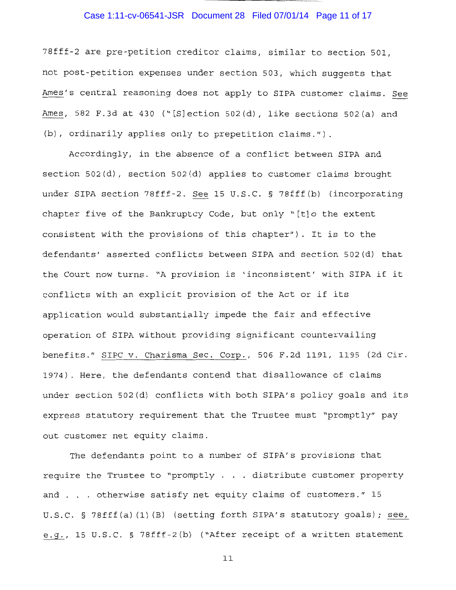## Case 1:11-cv-06541-JSR Document 28 Filed 07/01/14 Page 11 of 17

78fff-2 are pre-petition creditor claims, similar to section 501, not post-petition expenses under section 503, which suggests that Ames's central reasoning does not apply to SIPA customer claims. See Ames, 582 F.3d at 430 ("[S]ection 502(d), like sections 502(a) and (b), ordinarily applies only to prepetition claims.").

Accordingly, in the absence of a conflict between SIPA and section 502(d), section 502(d) applies to customer claims brought under SIPA section 78fff-2. See 15 U.S.C. § 78fff (b) (incorporating chapter five of the Bankruptcy Code, but only "[t]o the extent consistent with the provisions of this chapter"). It is to the defendants' asserted conflicts between SIPA and section 502(d) that the Court now turns. "A provision is 'inconsistent' with SIPA if it conflicts with an explicit provision of the Act or if its application would substantially impede the fair and effective operation of SIPA without providing significant countervailing benefits." SIPC v. Charisma Sec. Corp., 506 F.2d 1191, 1195 (2d Cir. 1974). Here, the defendants contend that disallowance of claims under section 502(d) conflicts with both SIPA's policy goals and its express statutory requirement that the Trustee must "promptly" pay out customer net equity claims.

The defendants point to a number of SIPA's provisions that require the Trustee to "promptly . . . distribute customer property and . . otherwise satisfy net equity claims of customers." 15 U.S.C. § 78fff(a)(1)(B) (setting forth SIPA's statutory goals); see, e.g., 15 U.S.C. § 78fff-2(b) ("After receipt of a written statement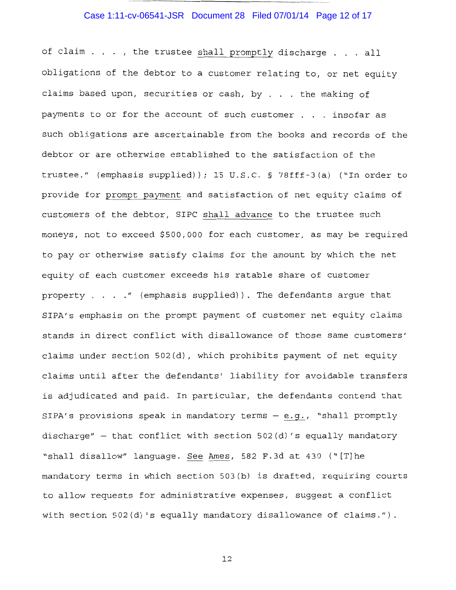# Case 1:11-cv-06541-JSR Document 28 Filed 07/01/14 Page 12 of 17

- ------------------------

of claim . . . , the trustee shall promptly discharge . . . all obligations of the debtor to a customer relating to, or net equity claims based upon, securities or cash, by  $\ldots$  the making of payments to or for the account of such customer  $\ldots$  insofar as such obligations are ascertainable from the books and records of the debtor or are otherwise established to the satisfaction of the trustee." (emphasis supplied)); 15 U.S.C. § 78fff-3(a) ("In order to provide for prompt payment and satisfaction of net equity claims of customers of the debtor, SIPC shall advance to the trustee such moneys, not to exceed \$500,000 for each customer, as may be required to pay or otherwise satisfy claims for the amount by which the net equity of each customer exceeds his ratable share of customer property  $\ldots$  . . . " (emphasis supplied)). The defendants arque that SIPA's emphasis on the prompt payment of customer net equity claims stands in direct conflict with disallowance of those same customers' claims under section 502(d), which prohibits payment of net equity claims until after the defendants' liability for avoidable transfers is adjudicated and paid. In particular, the defendants contend that SIPA's provisions speak in mandatory terms  $-$  e.g., "shall promptly discharge" - that conflict with section  $502(d)$ 's equally mandatory "shall disallow" language. See Ames, 582 F.3d at 430 ("[T]he mandatory terms in which section 503(b) is drafted, requiring courts to allow requests for administrative expenses, suggest a conflict with section 502(d) 's equally mandatory disallowance of claims.").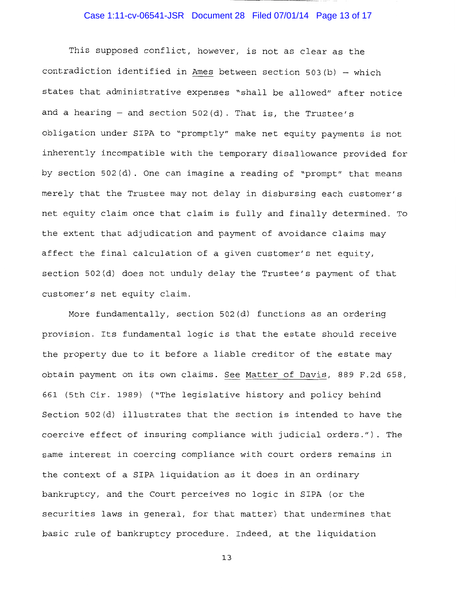## Case 1:11-cv-06541-JSR Document 28 Filed 07/01/14 Page 13 of 17

This supposed conflict, however, is not as clear as the contradiction identified in Ames between section 503(b) - which states that administrative expenses "shall be allowed" after notice and a hearing  $-$  and section 502(d). That is, the Trustee's obligation under SIPA to "promptly" make net equity payments is not inherently incompatible with the temporary disallowance provided for by section 502(d). One can imagine a reading of "prompt" that means merely that the Trustee may not delay in disbursing each customer's net equity claim once that claim is fully and finally determined. To the extent that adjudication and payment of avoidance claims may affect the final calculation of a given customer's net equity, section 502(d) does not unduly delay the Trustee's payment of that customer's net equity claim.

More fundamentally, section 502(d) functions as an ordering provision. Its fundamental logic is that the estate should receive the property due to it before a liable creditor of the estate may obtain payment on its own claims. See Matter of Davis, 889 F.2d 658, 661 (5th Cir. 1989) ("The legislative history and policy behind Section 502(d) illustrates that the section is intended to have the coercive effect of insuring compliance with judicial orders."). The same interest in coercing compliance with court orders remains in the context of a SIPA liquidation as it does in an ordinary bankruptcy, and the Court perceives no logic in SIPA (or the securities laws in general, for that matter) that undermines that basic rule of bankruptcy procedure. Indeed, at the liquidation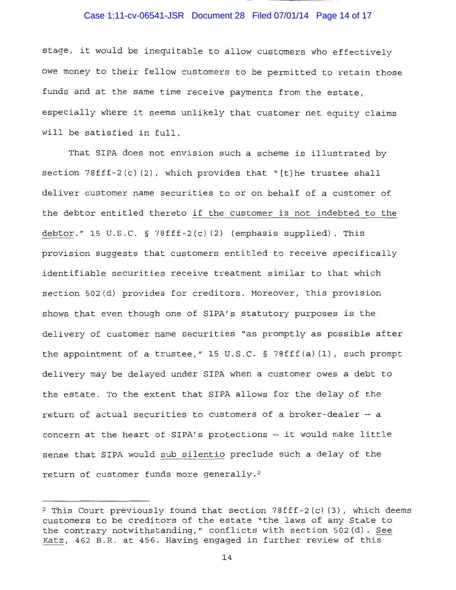#### Case 1:11-cv-06541-JSR Document 28 Filed 07/01/14 Page 14 of 17

stage, it would be inequitable to allow customers who effectively owe money to their fellow customers to be permitted to retain those funds and at the same time receive payments from the estate, especially where it seems unlikely that customer net equity claims will be satisfied in full.

That SIPA does not envision such a scheme is illustrated by section  $78fff-2(c)$  (2), which provides that "[t] he trustee shall deliver customer name securities to or on behalf of a customer of the debtor entitled thereto if the customer is not indebted to the debtor." 15 U.S.C. § 78fff-2 $(c)$  (2) (emphasis supplied). This provision suggests that customers entitled to receive specifically identifiable securities receive treatment similar to that which section 502(d) provides for creditors. Moreover, this provision shows that even though one of SIPA's statutory purposes is the delivery of customer name securities "as promptly as possible after the appointment of a trustee," 15 U.S.C. § 78fff(a) (1), such prompt delivery may be delayed under SIPA when a customer owes a debt to the estate. To the extent that SIPA allows for the delay of the return of actual securities to customers of a broker-dealer  $-$  a concern at the heart of SIPA's protections - it would make little sense that SIPA would sub silentio preclude such a delay of the return of customer funds more generally. <sup>2</sup>

<sup>&</sup>lt;sup>2</sup> This Court previously found that section  $78fff-2(c)(3)$ , which deems customers to be creditors of the estate "the laws of any State to the contrary notwithstanding," conflicts with section 502(d). See Katz, 462 B.R. at 456. Having engaged in further review of this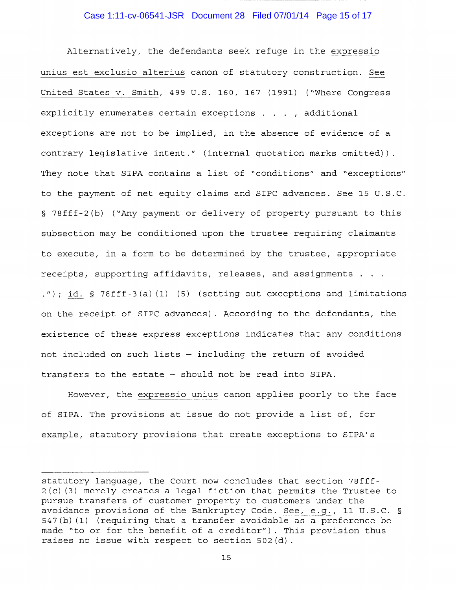#### Case 1:11-cv-06541-JSR Document 28 Filed 07/01/14 Page 15 of 17

Alternatively, the defendants seek refuge in the expressio unius est exclusio alterius canon of statutory construction. See United States v. Smith, 499 U.S. 160, 167 (1991) ("Where Congress explicitly enumerates certain exceptions . . . , additional exceptions are not to be implied, in the absence of evidence of a contrary legislative intent." (internal quotation marks omitted)). They note that SIPA contains a list of "conditions" and "exceptions" to the payment of net equity claims and SIPC advances. See 15 U.S.C. § 78fff-2 (b) ("Any payment or delivery of property pursuant to this subsection may be conditioned upon the trustee requiring claimants to execute, in a form to be determined by the trustee, appropriate receipts, supporting affidavits, releases, and assignments . . "); id. § 78fff-3 (a) (1) - (5) (setting out exceptions and limitations on the receipt of SIPC advances). According to the defendants, the existence of these express exceptions indicates that any conditions not included on such lists - including the return of avoided transfers to the estate - should not be read into SIPA.

However, the expressio unius canon applies poorly to the face of SIPA. The provisions at issue do not provide a list of, for example, statutory provisions that create exceptions to SIPA's

statutory language, the Court now concludes that section 78fff-2 (c) (3) merely creates a legal fiction that permits the Trustee to pursue transfers of customer property to customers under the avoidance provisions of the Bankruptcy Code. See, e.g., 11 U.S.C. § 547(b) (1) (requiring that a transfer avoidable as a preference be made "to or for the benefit of a creditor"). This provision thus raises no issue with respect to section 502(d).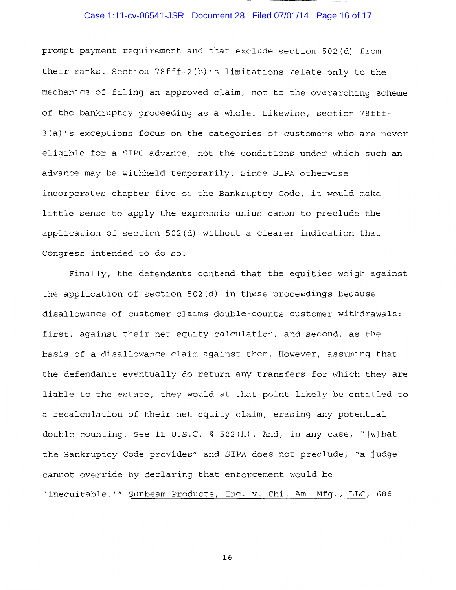# Case 1:11-cv-06541-JSR Document 28 Filed 07/01/14 Page 16 of 17

prompt payment requirement and that exclude section 502(d) from their ranks. Section 78fff-2(b) 's limitations relate only to the mechanics of filing an approved claim, not to the overarching scheme of the bankruptcy proceeding as a whole. Likewise, section 78fff-3 (a) 's exceptions focus on the categories of customers who are never eligible for a SIPC advance, not the conditions under which such an advance may be withheld temporarily. Since SIPA otherwise incorporates chapter five of the Bankruptcy Code, it would make little sense to apply the expressio unius canon to preclude the application of section 502(d) without a clearer indication that Congress intended to do so.

Finally, the defendants contend that the equities weigh against the application of section 502(d) in these proceedings because disallowance of customer claims double-counts customer withdrawals: first, against their net equity calculation, and second, as the basis of a disallowance claim against them. However, assuming that the defendants eventually do return any transfers for which they are liable to the estate, they would at that point likely be entitled to a recalculation of their net equity claim, erasing any potential double-counting. See 11 U.S.C. § 502(h). And, in any case, "[w]hat the Bankruptcy Code provides" and SIPA does not preclude, "a judge cannot override by declaring that enforcement would be 'inequitable.'" Sunbeam Products, Inc. v. Chi. Am. Mfg., LLC, 686